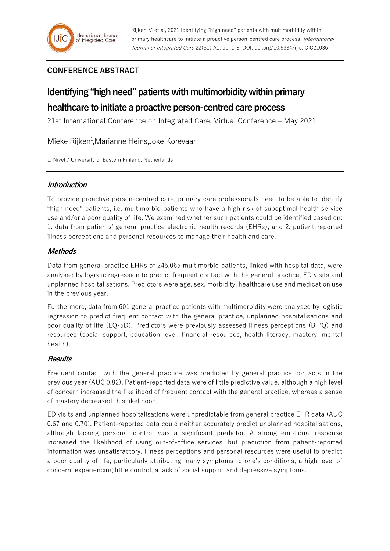# **CONFERENCE ABSTRACT**

# **Identifying "high need" patients with multimorbidity within primary**

# **healthcare to initiate a proactive person-centred care process**

21st International Conference on Integrated Care, Virtual Conference – May 2021

Mieke Rijken<sup>1</sup>, Marianne Heins, Joke Korevaar

1: Nivel / University of Eastern Finland, Netherlands

# **Introduction**

To provide proactive person-centred care, primary care professionals need to be able to identify "high need" patients, i.e. multimorbid patients who have a high risk of suboptimal health service use and/or a poor quality of life. We examined whether such patients could be identified based on: 1. data from patients' general practice electronic health records (EHRs), and 2. patient-reported illness perceptions and personal resources to manage their health and care.

# **Methods**

Data from general practice EHRs of 245,065 multimorbid patients, linked with hospital data, were analysed by logistic regression to predict frequent contact with the general practice, ED visits and unplanned hospitalisations. Predictors were age, sex, morbidity, healthcare use and medication use in the previous year.

Furthermore, data from 601 general practice patients with multimorbidity were analysed by logistic regression to predict frequent contact with the general practice, unplanned hospitalisations and poor quality of life (EQ-5D). Predictors were previously assessed illness perceptions (BIPQ) and resources (social support, education level, financial resources, health literacy, mastery, mental health).

# **Results**

Frequent contact with the general practice was predicted by general practice contacts in the previous year (AUC 0.82). Patient-reported data were of little predictive value, although a high level of concern increased the likelihood of frequent contact with the general practice, whereas a sense of mastery decreased this likelihood.

ED visits and unplanned hospitalisations were unpredictable from general practice EHR data (AUC 0.67 and 0.70). Patient-reported data could neither accurately predict unplanned hospitalisations, although lacking personal control was a significant predictor. A strong emotional response increased the likelihood of using out-of-office services, but prediction from patient-reported information was unsatisfactory. Illness perceptions and personal resources were useful to predict a poor quality of life, particularly attributing many symptoms to one's conditions, a high level of concern, experiencing little control, a lack of social support and depressive symptoms.